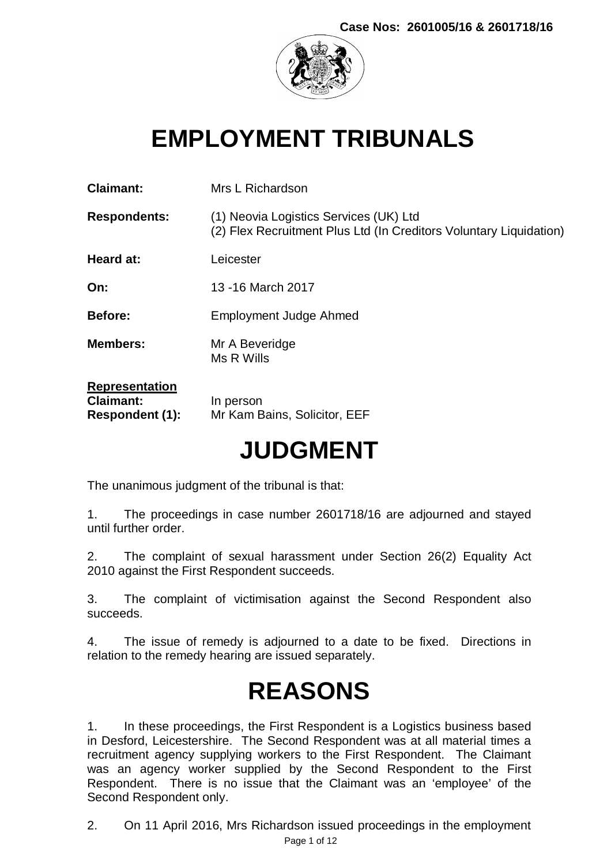

# **EMPLOYMENT TRIBUNALS**

| <b>Claimant:</b>                                             | Mrs L Richardson                                                                                             |
|--------------------------------------------------------------|--------------------------------------------------------------------------------------------------------------|
| <b>Respondents:</b>                                          | (1) Neovia Logistics Services (UK) Ltd<br>(2) Flex Recruitment Plus Ltd (In Creditors Voluntary Liquidation) |
| Heard at:                                                    | Leicester                                                                                                    |
| On:                                                          | 13 - 16 March 2017                                                                                           |
| <b>Before:</b>                                               | Employment Judge Ahmed                                                                                       |
| <b>Members:</b>                                              | Mr A Beveridge<br>Ms R Wills                                                                                 |
| <b>Representation</b><br><b>Claimant:</b><br>Respondent (1): | In person<br>Mr Kam Bains, Solicitor, EEF                                                                    |

# **JUDGMENT**

The unanimous judgment of the tribunal is that:

1. The proceedings in case number 2601718/16 are adjourned and stayed until further order.

2. The complaint of sexual harassment under Section 26(2) Equality Act 2010 against the First Respondent succeeds.

3. The complaint of victimisation against the Second Respondent also succeeds.

4. The issue of remedy is adjourned to a date to be fixed. Directions in relation to the remedy hearing are issued separately.

# **REASONS**

1. In these proceedings, the First Respondent is a Logistics business based in Desford, Leicestershire. The Second Respondent was at all material times a recruitment agency supplying workers to the First Respondent. The Claimant was an agency worker supplied by the Second Respondent to the First Respondent. There is no issue that the Claimant was an 'employee' of the Second Respondent only.

Page 1 of 12 2. On 11 April 2016, Mrs Richardson issued proceedings in the employment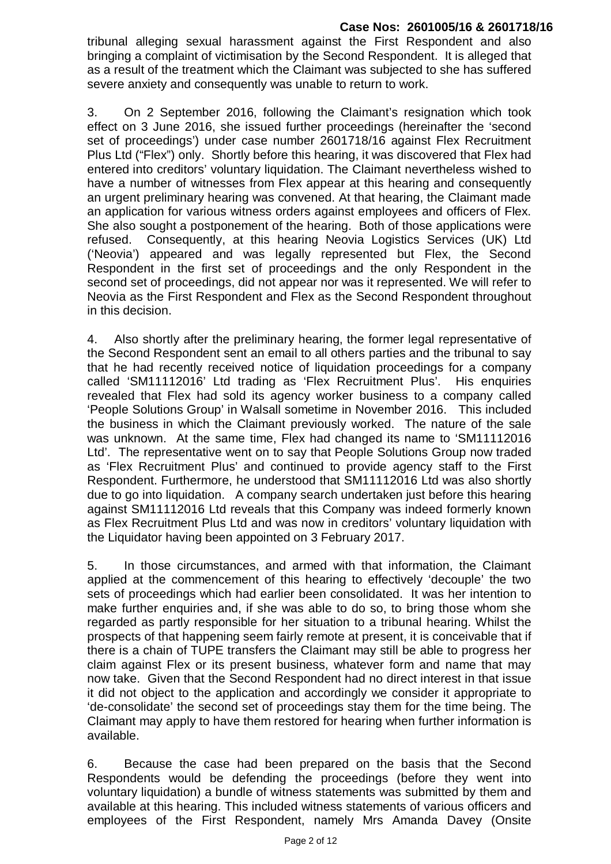tribunal alleging sexual harassment against the First Respondent and also bringing a complaint of victimisation by the Second Respondent. It is alleged that as a result of the treatment which the Claimant was subjected to she has suffered severe anxiety and consequently was unable to return to work.

3. On 2 September 2016, following the Claimant's resignation which took effect on 3 June 2016, she issued further proceedings (hereinafter the 'second set of proceedings') under case number 2601718/16 against Flex Recruitment Plus Ltd ("Flex") only. Shortly before this hearing, it was discovered that Flex had entered into creditors' voluntary liquidation. The Claimant nevertheless wished to have a number of witnesses from Flex appear at this hearing and consequently an urgent preliminary hearing was convened. At that hearing, the Claimant made an application for various witness orders against employees and officers of Flex. She also sought a postponement of the hearing. Both of those applications were refused. Consequently, at this hearing Neovia Logistics Services (UK) Ltd ('Neovia') appeared and was legally represented but Flex, the Second Respondent in the first set of proceedings and the only Respondent in the second set of proceedings, did not appear nor was it represented. We will refer to Neovia as the First Respondent and Flex as the Second Respondent throughout in this decision.

4. Also shortly after the preliminary hearing, the former legal representative of the Second Respondent sent an email to all others parties and the tribunal to say that he had recently received notice of liquidation proceedings for a company called 'SM11112016' Ltd trading as 'Flex Recruitment Plus'. His enquiries revealed that Flex had sold its agency worker business to a company called 'People Solutions Group' in Walsall sometime in November 2016. This included the business in which the Claimant previously worked. The nature of the sale was unknown. At the same time, Flex had changed its name to 'SM11112016 Ltd'. The representative went on to say that People Solutions Group now traded as 'Flex Recruitment Plus' and continued to provide agency staff to the First Respondent. Furthermore, he understood that SM11112016 Ltd was also shortly due to go into liquidation. A company search undertaken just before this hearing against SM11112016 Ltd reveals that this Company was indeed formerly known as Flex Recruitment Plus Ltd and was now in creditors' voluntary liquidation with the Liquidator having been appointed on 3 February 2017.

5. In those circumstances, and armed with that information, the Claimant applied at the commencement of this hearing to effectively 'decouple' the two sets of proceedings which had earlier been consolidated. It was her intention to make further enquiries and, if she was able to do so, to bring those whom she regarded as partly responsible for her situation to a tribunal hearing. Whilst the prospects of that happening seem fairly remote at present, it is conceivable that if there is a chain of TUPE transfers the Claimant may still be able to progress her claim against Flex or its present business, whatever form and name that may now take. Given that the Second Respondent had no direct interest in that issue it did not object to the application and accordingly we consider it appropriate to 'de-consolidate' the second set of proceedings stay them for the time being. The Claimant may apply to have them restored for hearing when further information is available.

6. Because the case had been prepared on the basis that the Second Respondents would be defending the proceedings (before they went into voluntary liquidation) a bundle of witness statements was submitted by them and available at this hearing. This included witness statements of various officers and employees of the First Respondent, namely Mrs Amanda Davey (Onsite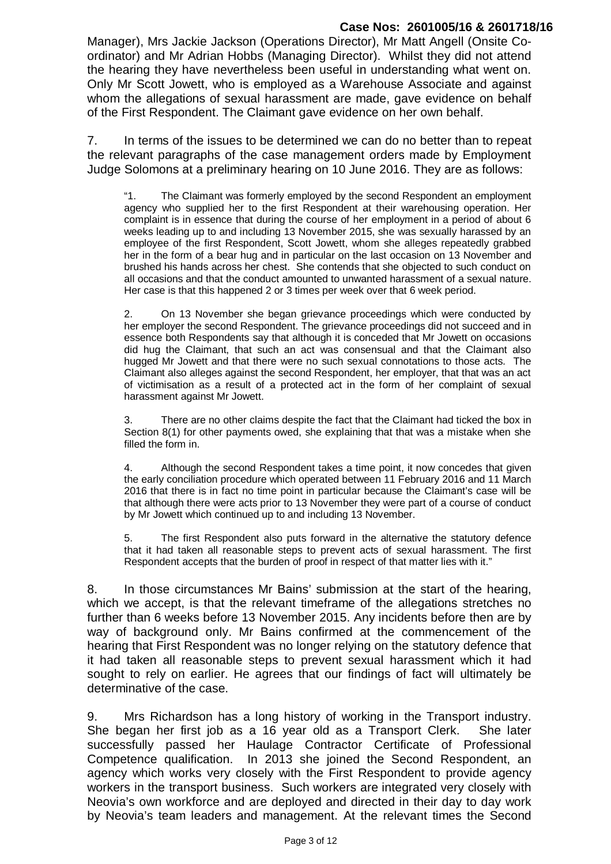Manager), Mrs Jackie Jackson (Operations Director), Mr Matt Angell (Onsite Coordinator) and Mr Adrian Hobbs (Managing Director). Whilst they did not attend the hearing they have nevertheless been useful in understanding what went on. Only Mr Scott Jowett, who is employed as a Warehouse Associate and against whom the allegations of sexual harassment are made, gave evidence on behalf of the First Respondent. The Claimant gave evidence on her own behalf.

7. In terms of the issues to be determined we can do no better than to repeat the relevant paragraphs of the case management orders made by Employment Judge Solomons at a preliminary hearing on 10 June 2016. They are as follows:

"1. The Claimant was formerly employed by the second Respondent an employment agency who supplied her to the first Respondent at their warehousing operation. Her complaint is in essence that during the course of her employment in a period of about 6 weeks leading up to and including 13 November 2015, she was sexually harassed by an employee of the first Respondent, Scott Jowett, whom she alleges repeatedly grabbed her in the form of a bear hug and in particular on the last occasion on 13 November and brushed his hands across her chest. She contends that she objected to such conduct on all occasions and that the conduct amounted to unwanted harassment of a sexual nature. Her case is that this happened 2 or 3 times per week over that 6 week period.

2. On 13 November she began grievance proceedings which were conducted by her employer the second Respondent. The grievance proceedings did not succeed and in essence both Respondents say that although it is conceded that Mr Jowett on occasions did hug the Claimant, that such an act was consensual and that the Claimant also hugged Mr Jowett and that there were no such sexual connotations to those acts. The Claimant also alleges against the second Respondent, her employer, that that was an act of victimisation as a result of a protected act in the form of her complaint of sexual harassment against Mr Jowett.

3. There are no other claims despite the fact that the Claimant had ticked the box in Section 8(1) for other payments owed, she explaining that that was a mistake when she filled the form in.

4. Although the second Respondent takes a time point, it now concedes that given the early conciliation procedure which operated between 11 February 2016 and 11 March 2016 that there is in fact no time point in particular because the Claimant's case will be that although there were acts prior to 13 November they were part of a course of conduct by Mr Jowett which continued up to and including 13 November.

5. The first Respondent also puts forward in the alternative the statutory defence that it had taken all reasonable steps to prevent acts of sexual harassment. The first Respondent accepts that the burden of proof in respect of that matter lies with it."

8. In those circumstances Mr Bains' submission at the start of the hearing, which we accept, is that the relevant timeframe of the allegations stretches no further than 6 weeks before 13 November 2015. Any incidents before then are by way of background only. Mr Bains confirmed at the commencement of the hearing that First Respondent was no longer relying on the statutory defence that it had taken all reasonable steps to prevent sexual harassment which it had sought to rely on earlier. He agrees that our findings of fact will ultimately be determinative of the case.

9. Mrs Richardson has a long history of working in the Transport industry. She began her first job as a 16 year old as a Transport Clerk. She later successfully passed her Haulage Contractor Certificate of Professional Competence qualification. In 2013 she joined the Second Respondent, an agency which works very closely with the First Respondent to provide agency workers in the transport business. Such workers are integrated very closely with Neovia's own workforce and are deployed and directed in their day to day work by Neovia's team leaders and management. At the relevant times the Second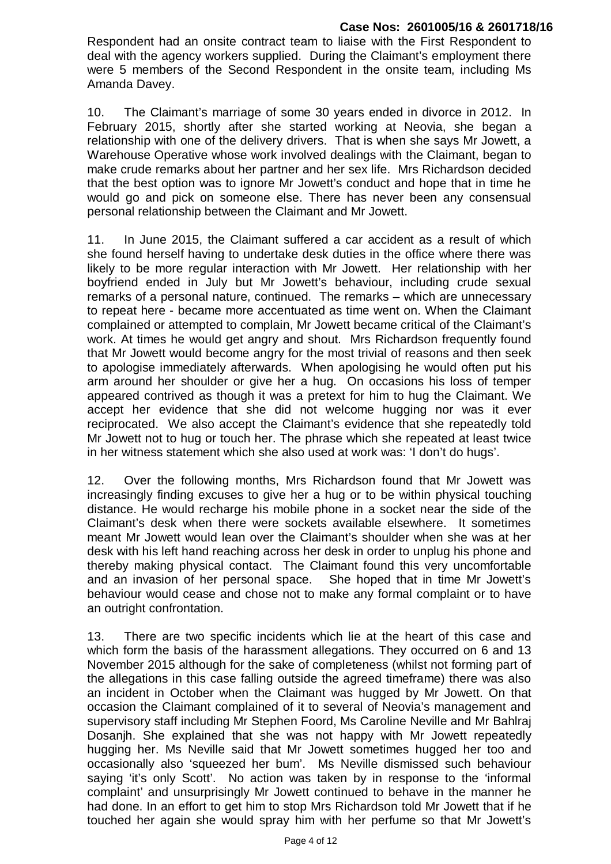Respondent had an onsite contract team to liaise with the First Respondent to deal with the agency workers supplied. During the Claimant's employment there were 5 members of the Second Respondent in the onsite team, including Ms Amanda Davey.

10. The Claimant's marriage of some 30 years ended in divorce in 2012. In February 2015, shortly after she started working at Neovia, she began a relationship with one of the delivery drivers. That is when she says Mr Jowett, a Warehouse Operative whose work involved dealings with the Claimant, began to make crude remarks about her partner and her sex life. Mrs Richardson decided that the best option was to ignore Mr Jowett's conduct and hope that in time he would go and pick on someone else. There has never been any consensual personal relationship between the Claimant and Mr Jowett.

11. In June 2015, the Claimant suffered a car accident as a result of which she found herself having to undertake desk duties in the office where there was likely to be more regular interaction with Mr Jowett. Her relationship with her boyfriend ended in July but Mr Jowett's behaviour, including crude sexual remarks of a personal nature, continued. The remarks – which are unnecessary to repeat here - became more accentuated as time went on. When the Claimant complained or attempted to complain, Mr Jowett became critical of the Claimant's work. At times he would get angry and shout. Mrs Richardson frequently found that Mr Jowett would become angry for the most trivial of reasons and then seek to apologise immediately afterwards. When apologising he would often put his arm around her shoulder or give her a hug. On occasions his loss of temper appeared contrived as though it was a pretext for him to hug the Claimant. We accept her evidence that she did not welcome hugging nor was it ever reciprocated. We also accept the Claimant's evidence that she repeatedly told Mr Jowett not to hug or touch her. The phrase which she repeated at least twice in her witness statement which she also used at work was: 'I don't do hugs'.

12. Over the following months, Mrs Richardson found that Mr Jowett was increasingly finding excuses to give her a hug or to be within physical touching distance. He would recharge his mobile phone in a socket near the side of the Claimant's desk when there were sockets available elsewhere. It sometimes meant Mr Jowett would lean over the Claimant's shoulder when she was at her desk with his left hand reaching across her desk in order to unplug his phone and thereby making physical contact. The Claimant found this very uncomfortable and an invasion of her personal space. She hoped that in time Mr Jowett's behaviour would cease and chose not to make any formal complaint or to have an outright confrontation.

13. There are two specific incidents which lie at the heart of this case and which form the basis of the harassment allegations. They occurred on 6 and 13 November 2015 although for the sake of completeness (whilst not forming part of the allegations in this case falling outside the agreed timeframe) there was also an incident in October when the Claimant was hugged by Mr Jowett. On that occasion the Claimant complained of it to several of Neovia's management and supervisory staff including Mr Stephen Foord, Ms Caroline Neville and Mr Bahlraj Dosanjh. She explained that she was not happy with Mr Jowett repeatedly hugging her. Ms Neville said that Mr Jowett sometimes hugged her too and occasionally also 'squeezed her bum'. Ms Neville dismissed such behaviour saying 'it's only Scott'. No action was taken by in response to the 'informal complaint' and unsurprisingly Mr Jowett continued to behave in the manner he had done. In an effort to get him to stop Mrs Richardson told Mr Jowett that if he touched her again she would spray him with her perfume so that Mr Jowett's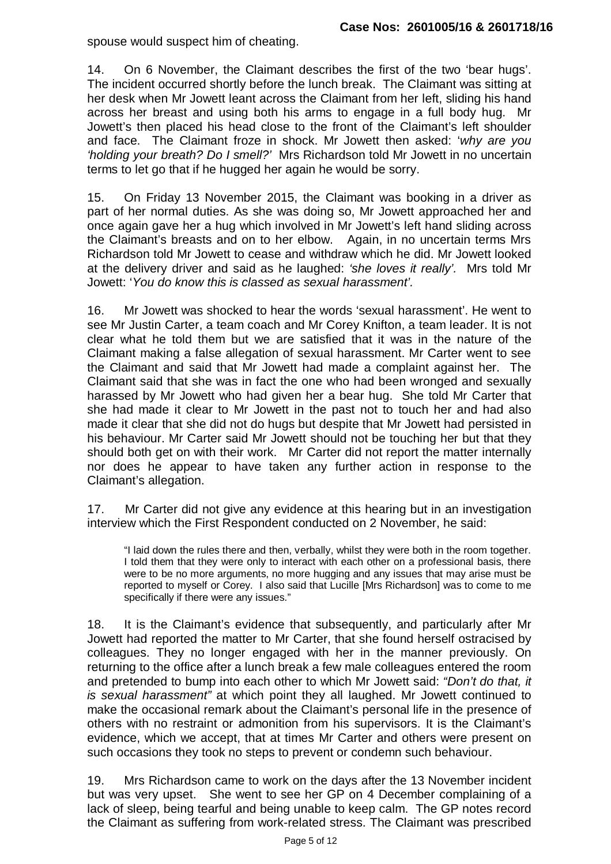spouse would suspect him of cheating.

14. On 6 November, the Claimant describes the first of the two 'bear hugs'. The incident occurred shortly before the lunch break. The Claimant was sitting at her desk when Mr Jowett leant across the Claimant from her left, sliding his hand across her breast and using both his arms to engage in a full body hug. Mr Jowett's then placed his head close to the front of the Claimant's left shoulder and face. The Claimant froze in shock. Mr Jowett then asked: '*why are you 'holding your breath? Do I smell?'* Mrs Richardson told Mr Jowett in no uncertain terms to let go that if he hugged her again he would be sorry.

15. On Friday 13 November 2015, the Claimant was booking in a driver as part of her normal duties. As she was doing so, Mr Jowett approached her and once again gave her a hug which involved in Mr Jowett's left hand sliding across the Claimant's breasts and on to her elbow. Again, in no uncertain terms Mrs Richardson told Mr Jowett to cease and withdraw which he did. Mr Jowett looked at the delivery driver and said as he laughed: *'she loves it really'.* Mrs told Mr Jowett: '*You do know this is classed as sexual harassment'.* 

16. Mr Jowett was shocked to hear the words 'sexual harassment'. He went to see Mr Justin Carter, a team coach and Mr Corey Knifton, a team leader. It is not clear what he told them but we are satisfied that it was in the nature of the Claimant making a false allegation of sexual harassment. Mr Carter went to see the Claimant and said that Mr Jowett had made a complaint against her. The Claimant said that she was in fact the one who had been wronged and sexually harassed by Mr Jowett who had given her a bear hug. She told Mr Carter that she had made it clear to Mr Jowett in the past not to touch her and had also made it clear that she did not do hugs but despite that Mr Jowett had persisted in his behaviour. Mr Carter said Mr Jowett should not be touching her but that they should both get on with their work. Mr Carter did not report the matter internally nor does he appear to have taken any further action in response to the Claimant's allegation.

17. Mr Carter did not give any evidence at this hearing but in an investigation interview which the First Respondent conducted on 2 November, he said:

"I laid down the rules there and then, verbally, whilst they were both in the room together. I told them that they were only to interact with each other on a professional basis, there were to be no more arguments, no more hugging and any issues that may arise must be reported to myself or Corey. I also said that Lucille [Mrs Richardson] was to come to me specifically if there were any issues."

18. It is the Claimant's evidence that subsequently, and particularly after Mr Jowett had reported the matter to Mr Carter, that she found herself ostracised by colleagues. They no longer engaged with her in the manner previously. On returning to the office after a lunch break a few male colleagues entered the room and pretended to bump into each other to which Mr Jowett said: *"Don't do that, it is sexual harassment"* at which point they all laughed. Mr Jowett continued to make the occasional remark about the Claimant's personal life in the presence of others with no restraint or admonition from his supervisors. It is the Claimant's evidence, which we accept, that at times Mr Carter and others were present on such occasions they took no steps to prevent or condemn such behaviour.

19. Mrs Richardson came to work on the days after the 13 November incident but was very upset. She went to see her GP on 4 December complaining of a lack of sleep, being tearful and being unable to keep calm. The GP notes record the Claimant as suffering from work-related stress. The Claimant was prescribed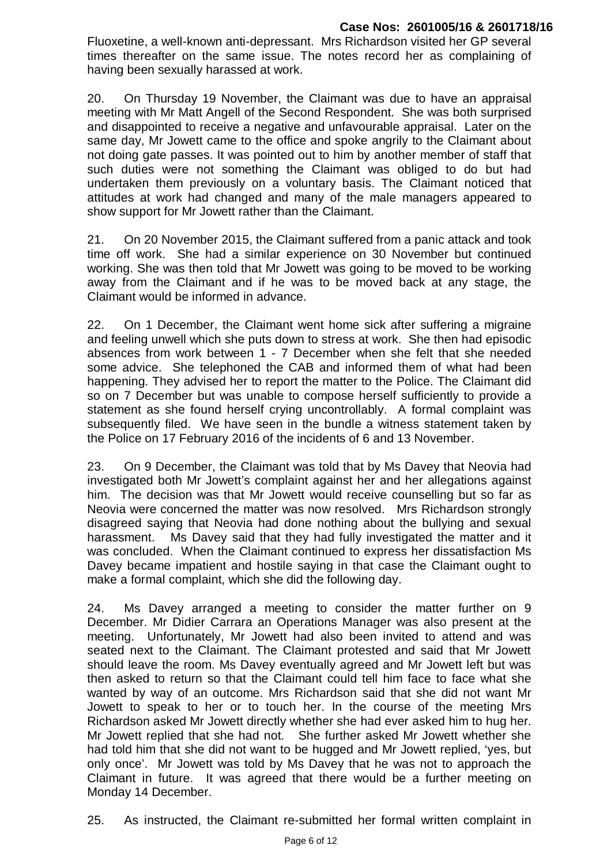Fluoxetine, a well-known anti-depressant. Mrs Richardson visited her GP several times thereafter on the same issue. The notes record her as complaining of having been sexually harassed at work.

20. On Thursday 19 November, the Claimant was due to have an appraisal meeting with Mr Matt Angell of the Second Respondent. She was both surprised and disappointed to receive a negative and unfavourable appraisal. Later on the same day, Mr Jowett came to the office and spoke angrily to the Claimant about not doing gate passes. It was pointed out to him by another member of staff that such duties were not something the Claimant was obliged to do but had undertaken them previously on a voluntary basis. The Claimant noticed that attitudes at work had changed and many of the male managers appeared to show support for Mr Jowett rather than the Claimant.

21. On 20 November 2015, the Claimant suffered from a panic attack and took time off work. She had a similar experience on 30 November but continued working. She was then told that Mr Jowett was going to be moved to be working away from the Claimant and if he was to be moved back at any stage, the Claimant would be informed in advance.

22. On 1 December, the Claimant went home sick after suffering a migraine and feeling unwell which she puts down to stress at work. She then had episodic absences from work between 1 - 7 December when she felt that she needed some advice. She telephoned the CAB and informed them of what had been happening. They advised her to report the matter to the Police. The Claimant did so on 7 December but was unable to compose herself sufficiently to provide a statement as she found herself crying uncontrollably. A formal complaint was subsequently filed. We have seen in the bundle a witness statement taken by the Police on 17 February 2016 of the incidents of 6 and 13 November.

23. On 9 December, the Claimant was told that by Ms Davey that Neovia had investigated both Mr Jowett's complaint against her and her allegations against him. The decision was that Mr Jowett would receive counselling but so far as Neovia were concerned the matter was now resolved. Mrs Richardson strongly disagreed saying that Neovia had done nothing about the bullying and sexual harassment. Ms Davey said that they had fully investigated the matter and it was concluded. When the Claimant continued to express her dissatisfaction Ms Davey became impatient and hostile saying in that case the Claimant ought to make a formal complaint, which she did the following day.

24. Ms Davey arranged a meeting to consider the matter further on 9 December. Mr Didier Carrara an Operations Manager was also present at the meeting. Unfortunately, Mr Jowett had also been invited to attend and was seated next to the Claimant. The Claimant protested and said that Mr Jowett should leave the room. Ms Davey eventually agreed and Mr Jowett left but was then asked to return so that the Claimant could tell him face to face what she wanted by way of an outcome. Mrs Richardson said that she did not want Mr Jowett to speak to her or to touch her. In the course of the meeting Mrs Richardson asked Mr Jowett directly whether she had ever asked him to hug her. Mr Jowett replied that she had not. She further asked Mr Jowett whether she had told him that she did not want to be hugged and Mr Jowett replied, 'yes, but only once'. Mr Jowett was told by Ms Davey that he was not to approach the Claimant in future. It was agreed that there would be a further meeting on Monday 14 December.

25. As instructed, the Claimant re-submitted her formal written complaint in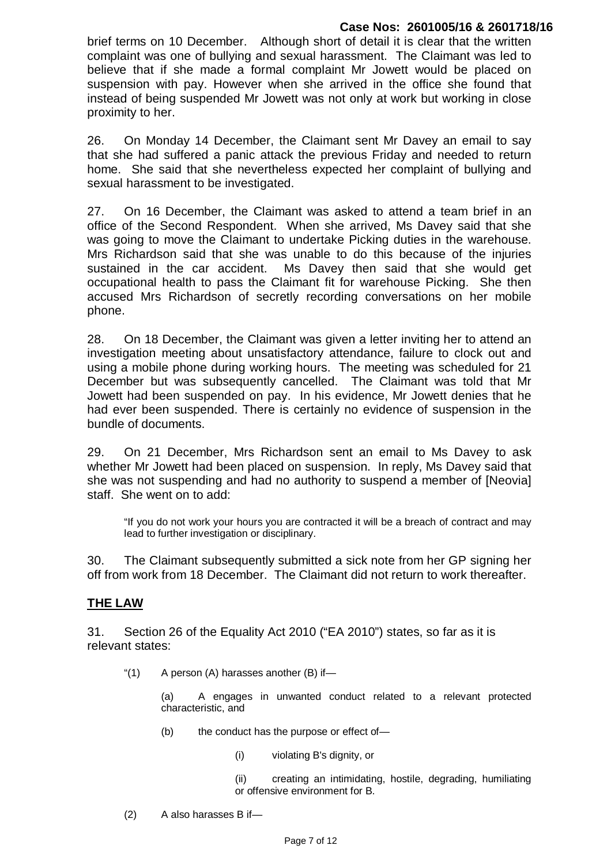brief terms on 10 December. Although short of detail it is clear that the written complaint was one of bullying and sexual harassment. The Claimant was led to believe that if she made a formal complaint Mr Jowett would be placed on suspension with pay. However when she arrived in the office she found that instead of being suspended Mr Jowett was not only at work but working in close proximity to her.

26. On Monday 14 December, the Claimant sent Mr Davey an email to say that she had suffered a panic attack the previous Friday and needed to return home. She said that she nevertheless expected her complaint of bullying and sexual harassment to be investigated.

27. On 16 December, the Claimant was asked to attend a team brief in an office of the Second Respondent. When she arrived, Ms Davey said that she was going to move the Claimant to undertake Picking duties in the warehouse. Mrs Richardson said that she was unable to do this because of the injuries sustained in the car accident. Ms Davey then said that she would get occupational health to pass the Claimant fit for warehouse Picking. She then accused Mrs Richardson of secretly recording conversations on her mobile phone.

28. On 18 December, the Claimant was given a letter inviting her to attend an investigation meeting about unsatisfactory attendance, failure to clock out and using a mobile phone during working hours. The meeting was scheduled for 21 December but was subsequently cancelled. The Claimant was told that Mr Jowett had been suspended on pay. In his evidence, Mr Jowett denies that he had ever been suspended. There is certainly no evidence of suspension in the bundle of documents.

29. On 21 December, Mrs Richardson sent an email to Ms Davey to ask whether Mr Jowett had been placed on suspension. In reply, Ms Davey said that she was not suspending and had no authority to suspend a member of [Neovia] staff. She went on to add:

"If you do not work your hours you are contracted it will be a breach of contract and may lead to further investigation or disciplinary.

30. The Claimant subsequently submitted a sick note from her GP signing her off from work from 18 December. The Claimant did not return to work thereafter.

# **THE LAW**

31. Section 26 of the Equality Act 2010 ("EA 2010") states, so far as it is relevant states:

" $(1)$  A person  $(A)$  harasses another  $(B)$  if-

(a) A engages in unwanted conduct related to a relevant protected characteristic, and

(b) the conduct has the purpose or effect of—

(i) violating B's dignity, or

(ii) creating an intimidating, hostile, degrading, humiliating or offensive environment for B.

(2) A also harasses B if—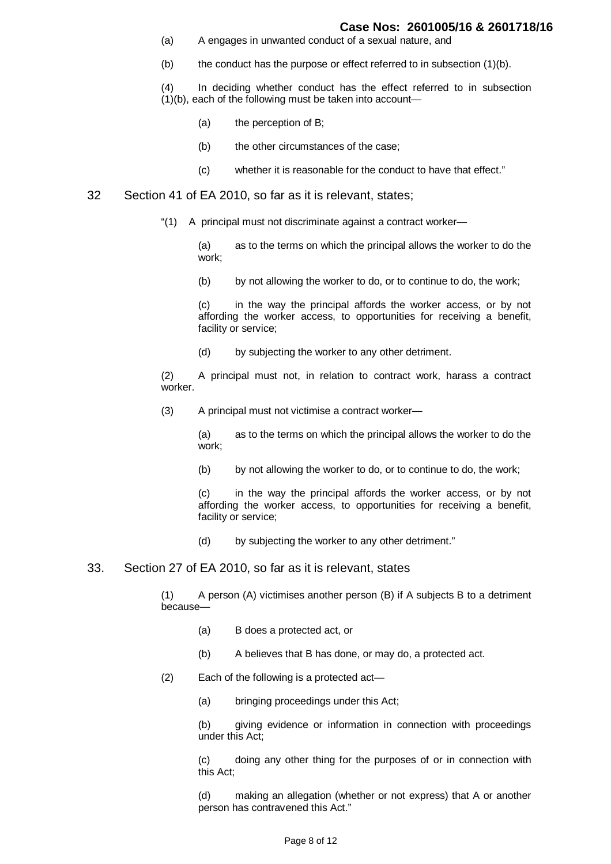- (a) A engages in unwanted conduct of a sexual nature, and
- $(b)$  the conduct has the purpose or effect referred to in subsection  $(1)(b)$ .

(4) In deciding whether conduct has the effect referred to in subsection (1)(b), each of the following must be taken into account—

- (a) the perception of B;
- (b) the other circumstances of the case;
- (c) whether it is reasonable for the conduct to have that effect."

### 32 Section 41 of EA 2010, so far as it is relevant, states;

"(1) A principal must not discriminate against a contract worker—

(a) as to the terms on which the principal allows the worker to do the work;

(b) by not allowing the worker to do, or to continue to do, the work;

(c) in the way the principal affords the worker access, or by not affording the worker access, to opportunities for receiving a benefit, facility or service;

(d) by subjecting the worker to any other detriment.

(2) A principal must not, in relation to contract work, harass a contract worker.

(3) A principal must not victimise a contract worker—

(a) as to the terms on which the principal allows the worker to do the work;

(b) by not allowing the worker to do, or to continue to do, the work;

(c) in the way the principal affords the worker access, or by not affording the worker access, to opportunities for receiving a benefit, facility or service;

(d) by subjecting the worker to any other detriment."

#### 33. Section 27 of EA 2010, so far as it is relevant, states

(1) A person (A) victimises another person (B) if A subjects B to a detriment because—

- (a) B does a protected act, or
- (b) A believes that B has done, or may do, a protected act.
- (2) Each of the following is a protected act—
	- (a) bringing proceedings under this Act;

(b) giving evidence or information in connection with proceedings under this Act;

(c) doing any other thing for the purposes of or in connection with this Act;

(d) making an allegation (whether or not express) that A or another person has contravened this Act."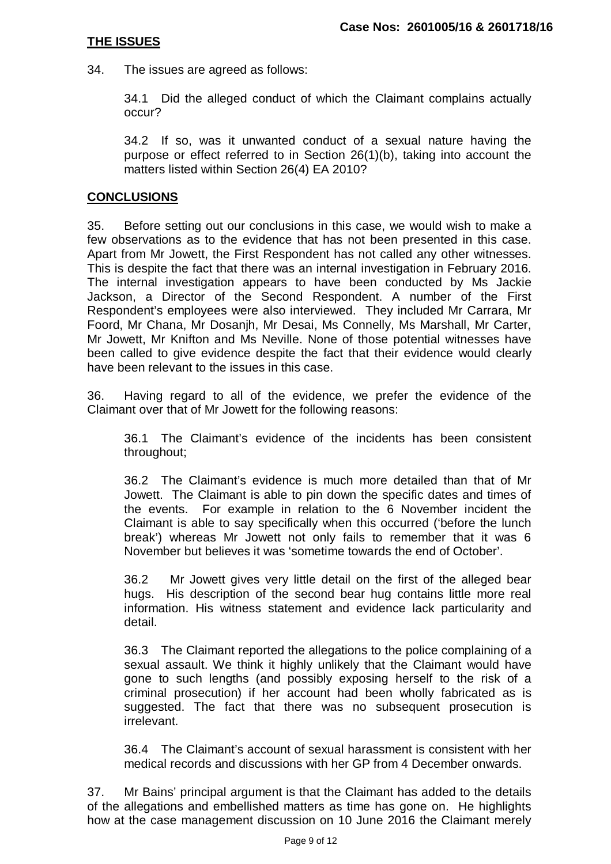# **THE ISSUES**

34. The issues are agreed as follows:

34.1 Did the alleged conduct of which the Claimant complains actually occur?

34.2 If so, was it unwanted conduct of a sexual nature having the purpose or effect referred to in Section 26(1)(b), taking into account the matters listed within Section 26(4) EA 2010?

# **CONCLUSIONS**

35. Before setting out our conclusions in this case, we would wish to make a few observations as to the evidence that has not been presented in this case. Apart from Mr Jowett, the First Respondent has not called any other witnesses. This is despite the fact that there was an internal investigation in February 2016. The internal investigation appears to have been conducted by Ms Jackie Jackson, a Director of the Second Respondent. A number of the First Respondent's employees were also interviewed. They included Mr Carrara, Mr Foord, Mr Chana, Mr Dosanjh, Mr Desai, Ms Connelly, Ms Marshall, Mr Carter, Mr Jowett, Mr Knifton and Ms Neville. None of those potential witnesses have been called to give evidence despite the fact that their evidence would clearly have been relevant to the issues in this case.

36. Having regard to all of the evidence, we prefer the evidence of the Claimant over that of Mr Jowett for the following reasons:

36.1 The Claimant's evidence of the incidents has been consistent throughout;

36.2 The Claimant's evidence is much more detailed than that of Mr Jowett. The Claimant is able to pin down the specific dates and times of the events. For example in relation to the 6 November incident the Claimant is able to say specifically when this occurred ('before the lunch break') whereas Mr Jowett not only fails to remember that it was 6 November but believes it was 'sometime towards the end of October'.

36.2 Mr Jowett gives very little detail on the first of the alleged bear hugs. His description of the second bear hug contains little more real information. His witness statement and evidence lack particularity and detail.

36.3 The Claimant reported the allegations to the police complaining of a sexual assault. We think it highly unlikely that the Claimant would have gone to such lengths (and possibly exposing herself to the risk of a criminal prosecution) if her account had been wholly fabricated as is suggested. The fact that there was no subsequent prosecution is irrelevant.

36.4 The Claimant's account of sexual harassment is consistent with her medical records and discussions with her GP from 4 December onwards.

37. Mr Bains' principal argument is that the Claimant has added to the details of the allegations and embellished matters as time has gone on. He highlights how at the case management discussion on 10 June 2016 the Claimant merely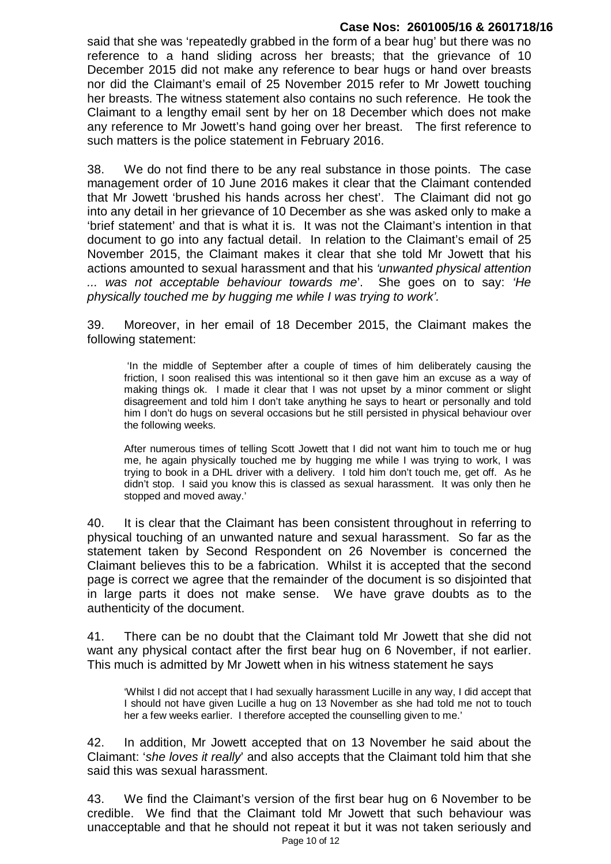said that she was 'repeatedly grabbed in the form of a bear hug' but there was no reference to a hand sliding across her breasts; that the grievance of 10 December 2015 did not make any reference to bear hugs or hand over breasts nor did the Claimant's email of 25 November 2015 refer to Mr Jowett touching her breasts. The witness statement also contains no such reference. He took the Claimant to a lengthy email sent by her on 18 December which does not make any reference to Mr Jowett's hand going over her breast. The first reference to such matters is the police statement in February 2016.

38. We do not find there to be any real substance in those points. The case management order of 10 June 2016 makes it clear that the Claimant contended that Mr Jowett 'brushed his hands across her chest'. The Claimant did not go into any detail in her grievance of 10 December as she was asked only to make a 'brief statement' and that is what it is. It was not the Claimant's intention in that document to go into any factual detail. In relation to the Claimant's email of 25 November 2015, the Claimant makes it clear that she told Mr Jowett that his actions amounted to sexual harassment and that his *'unwanted physical attention ... was not acceptable behaviour towards me*'. She goes on to say: *'He physically touched me by hugging me while I was trying to work'.*

39. Moreover, in her email of 18 December 2015, the Claimant makes the following statement:

 'In the middle of September after a couple of times of him deliberately causing the friction, I soon realised this was intentional so it then gave him an excuse as a way of making things ok. I made it clear that I was not upset by a minor comment or slight disagreement and told him I don't take anything he says to heart or personally and told him I don't do hugs on several occasions but he still persisted in physical behaviour over the following weeks.

After numerous times of telling Scott Jowett that I did not want him to touch me or hug me, he again physically touched me by hugging me while I was trying to work, I was trying to book in a DHL driver with a delivery. I told him don't touch me, get off. As he didn't stop. I said you know this is classed as sexual harassment. It was only then he stopped and moved away.'

40. It is clear that the Claimant has been consistent throughout in referring to physical touching of an unwanted nature and sexual harassment. So far as the statement taken by Second Respondent on 26 November is concerned the Claimant believes this to be a fabrication. Whilst it is accepted that the second page is correct we agree that the remainder of the document is so disjointed that in large parts it does not make sense. We have grave doubts as to the authenticity of the document.

41. There can be no doubt that the Claimant told Mr Jowett that she did not want any physical contact after the first bear hug on 6 November, if not earlier. This much is admitted by Mr Jowett when in his witness statement he says

'Whilst I did not accept that I had sexually harassment Lucille in any way, I did accept that I should not have given Lucille a hug on 13 November as she had told me not to touch her a few weeks earlier. I therefore accepted the counselling given to me.'

42. In addition, Mr Jowett accepted that on 13 November he said about the Claimant: '*she loves it really*' and also accepts that the Claimant told him that she said this was sexual harassment.

Page 10 of 12 43. We find the Claimant's version of the first bear hug on 6 November to be credible. We find that the Claimant told Mr Jowett that such behaviour was unacceptable and that he should not repeat it but it was not taken seriously and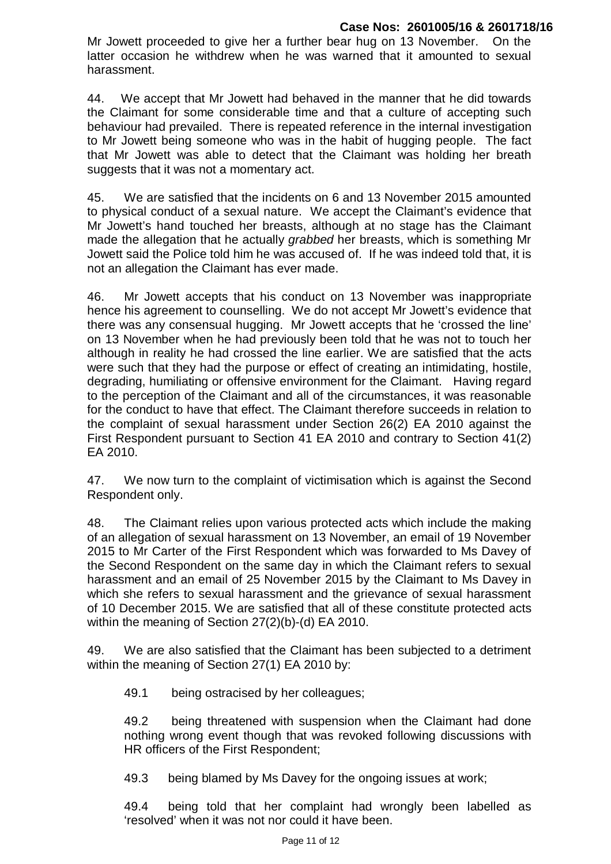Mr Jowett proceeded to give her a further bear hug on 13 November. On the latter occasion he withdrew when he was warned that it amounted to sexual harassment.

44. We accept that Mr Jowett had behaved in the manner that he did towards the Claimant for some considerable time and that a culture of accepting such behaviour had prevailed. There is repeated reference in the internal investigation to Mr Jowett being someone who was in the habit of hugging people. The fact that Mr Jowett was able to detect that the Claimant was holding her breath suggests that it was not a momentary act.

45. We are satisfied that the incidents on 6 and 13 November 2015 amounted to physical conduct of a sexual nature. We accept the Claimant's evidence that Mr Jowett's hand touched her breasts, although at no stage has the Claimant made the allegation that he actually *grabbed* her breasts, which is something Mr Jowett said the Police told him he was accused of. If he was indeed told that, it is not an allegation the Claimant has ever made.

46. Mr Jowett accepts that his conduct on 13 November was inappropriate hence his agreement to counselling. We do not accept Mr Jowett's evidence that there was any consensual hugging. Mr Jowett accepts that he 'crossed the line' on 13 November when he had previously been told that he was not to touch her although in reality he had crossed the line earlier. We are satisfied that the acts were such that they had the purpose or effect of creating an intimidating, hostile, degrading, humiliating or offensive environment for the Claimant. Having regard to the perception of the Claimant and all of the circumstances, it was reasonable for the conduct to have that effect. The Claimant therefore succeeds in relation to the complaint of sexual harassment under Section 26(2) EA 2010 against the First Respondent pursuant to Section 41 EA 2010 and contrary to Section 41(2) EA 2010.

47. We now turn to the complaint of victimisation which is against the Second Respondent only.

48. The Claimant relies upon various protected acts which include the making of an allegation of sexual harassment on 13 November, an email of 19 November 2015 to Mr Carter of the First Respondent which was forwarded to Ms Davey of the Second Respondent on the same day in which the Claimant refers to sexual harassment and an email of 25 November 2015 by the Claimant to Ms Davey in which she refers to sexual harassment and the grievance of sexual harassment of 10 December 2015. We are satisfied that all of these constitute protected acts within the meaning of Section 27(2)(b)-(d) EA 2010.

49. We are also satisfied that the Claimant has been subjected to a detriment within the meaning of Section 27(1) EA 2010 by:

49.1 being ostracised by her colleagues;

49.2 being threatened with suspension when the Claimant had done nothing wrong event though that was revoked following discussions with HR officers of the First Respondent;

49.3 being blamed by Ms Davey for the ongoing issues at work;

49.4 being told that her complaint had wrongly been labelled as 'resolved' when it was not nor could it have been.